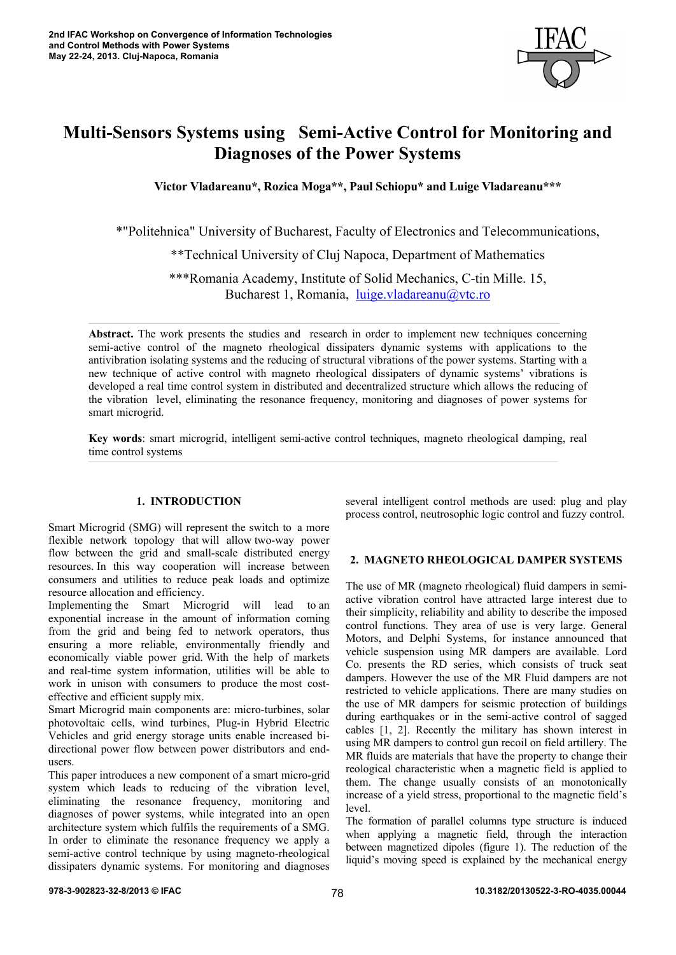

# **Multi-Sensors Systems using Semi-Active Control for Monitoring and Diagnoses of the Power Systems**

**Victor Vladareanu\*, Rozica Moga\*\*, Paul Schiopu\* and Luige Vladareanu\*\*\*** 

\*"Politehnica" University of Bucharest, Faculty of Electronics and Telecommunications,

\*\*Technical University of Cluj Napoca, Department of Mathematics

\*\*\*Romania Academy, Institute of Solid Mechanics, C-tin Mille. 15, Bucharest 1, Romania, luige.vladareanu@vtc.ro

**Abstract.** The work presents the studies and research in order to implement new techniques concerning semi-active control of the magneto rheological dissipaters dynamic systems with applications to the antivibration isolating systems and the reducing of structural vibrations of the power systems. Starting with a new technique of active control with magneto rheological dissipaters of dynamic systems' vibrations is developed a real time control system in distributed and decentralized structure which allows the reducing of the vibration level, eliminating the resonance frequency, monitoring and diagnoses of power systems for smart microgrid.

**\_\_\_\_\_\_\_\_\_\_\_\_\_\_\_\_\_\_\_\_\_\_\_\_\_\_\_\_\_\_\_\_\_\_\_\_\_\_\_\_\_\_\_\_\_\_\_\_\_\_\_\_\_\_\_\_\_\_\_\_\_\_\_\_\_\_\_\_\_\_\_\_\_\_\_\_\_\_\_\_\_\_\_\_\_\_\_\_\_\_\_\_\_\_\_\_\_\_\_\_\_\_\_\_\_\_\_\_\_\_\_\_\_\_\_\_\_\_\_\_\_\_\_\_\_\_\_\_\_\_\_\_\_\_\_\_\_\_\_\_\_\_\_\_\_\_\_\_\_\_\_\_\_\_\_\_\_\_\_\_\_\_\_\_\_\_\_\_\_\_\_\_\_\_\_\_\_\_\_\_\_\_\_\_\_\_\_\_\_\_\_\_\_\_\_\_\_\_\_\_\_\_\_\_\_\_\_\_\_\_\_\_\_\_\_\_\_\_\_\_\_\_\_\_\_\_\_\_\_\_\_\_\_\_\_\_\_\_\_\_\_\_\_\_\_\_\_\_\_\_\_\_\_\_\_\_\_\_\_\_\_\_\_\_\_\_\_\_\_\_\_\_\_\_\_\_\_** 

**Key words**: smart microgrid, intelligent semi-active control techniques, magneto rheological damping, real time control systems

## **1. INTRODUCTION**

Smart Microgrid (SMG) will represent the switch to a more flexible network topology that will allow two-way power flow between the grid and small-scale distributed energy resources. In this way cooperation will increase between consumers and utilities to reduce peak loads and optimize resource allocation and efficiency.

Implementing the Smart Microgrid will lead to an exponential increase in the amount of information coming from the grid and being fed to network operators, thus ensuring a more reliable, environmentally friendly and economically viable power grid. With the help of markets and real-time system information, utilities will be able to work in unison with consumers to produce the most costeffective and efficient supply mix.

Smart Microgrid main components are: micro-turbines, solar photovoltaic cells, wind turbines, Plug-in Hybrid Electric Vehicles and grid energy storage units enable increased bidirectional power flow between power distributors and endusers.

This paper introduces a new component of a smart micro-grid system which leads to reducing of the vibration level, eliminating the resonance frequency, monitoring and diagnoses of power systems, while integrated into an open architecture system which fulfils the requirements of a SMG. In order to eliminate the resonance frequency we apply a semi-active control technique by using magneto-rheological dissipaters dynamic systems. For monitoring and diagnoses

several intelligent control methods are used: plug and play process control, neutrosophic logic control and fuzzy control.

## **2. MAGNETO RHEOLOGICAL DAMPER SYSTEMS**

The use of MR (magneto rheological) fluid dampers in semiactive vibration control have attracted large interest due to their simplicity, reliability and ability to describe the imposed control functions. They area of use is very large. General Motors, and Delphi Systems, for instance announced that vehicle suspension using MR dampers are available. Lord Co. presents the RD series, which consists of truck seat dampers. However the use of the MR Fluid dampers are not restricted to vehicle applications. There are many studies on the use of MR dampers for seismic protection of buildings during earthquakes or in the semi-active control of sagged cables [1, 2]. Recently the military has shown interest in using MR dampers to control gun recoil on field artillery. The MR fluids are materials that have the property to change their reological characteristic when a magnetic field is applied to them. The change usually consists of an monotonically increase of a yield stress, proportional to the magnetic field's level.

The formation of parallel columns type structure is induced when applying a magnetic field, through the interaction between magnetized dipoles (figure 1). The reduction of the liquid's moving speed is explained by the mechanical energy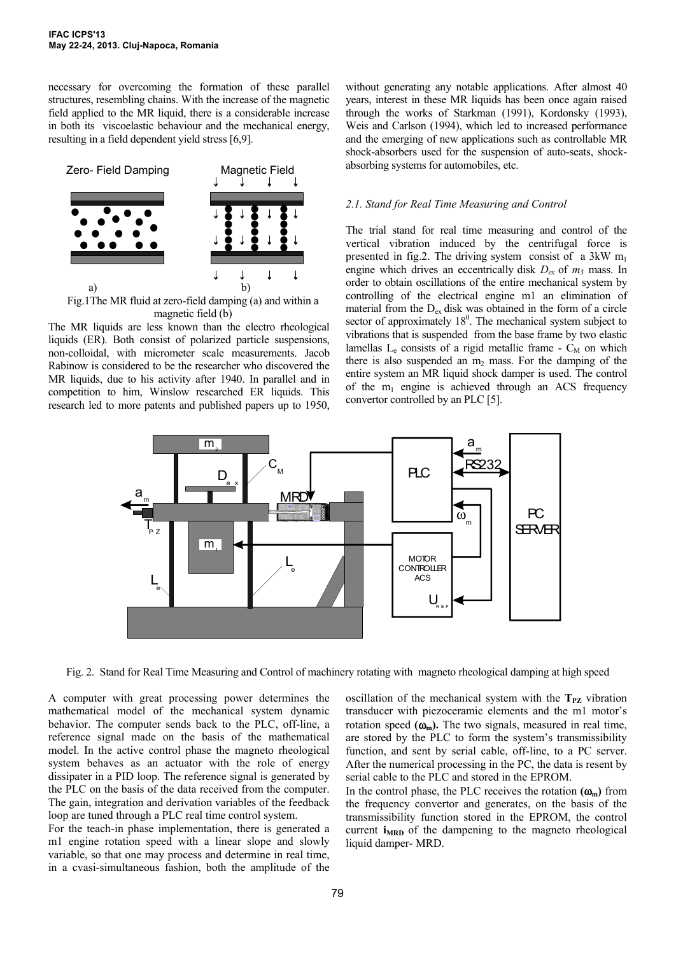necessary for overcoming the formation of these parallel structures, resembling chains. With the increase of the magnetic field applied to the MR liquid, there is a considerable increase in both its viscoelastic behaviour and the mechanical energy, resulting in a field dependent yield stress [6,9].



Fig.1The MR fluid at zero-field damping (a) and within a magnetic field (b)

The MR liquids are less known than the electro rheological liquids (ER). Both consist of polarized particle suspensions, non-colloidal, with micrometer scale measurements. Jacob Rabinow is considered to be the researcher who discovered the MR liquids, due to his activity after 1940. In parallel and in competition to him, Winslow researched ER liquids. This research led to more patents and published papers up to 1950,

without generating any notable applications. After almost 40 years, interest in these MR liquids has been once again raised through the works of Starkman (1991), Kordonsky (1993), Weis and Carlson (1994), which led to increased performance and the emerging of new applications such as controllable MR shock-absorbers used for the suspension of auto-seats, shockabsorbing systems for automobiles, etc.

#### *2.1. Stand for Real Time Measuring and Control*

The trial stand for real time measuring and control of the vertical vibration induced by the centrifugal force is presented in fig.2. The driving system consist of a  $3kW$  m<sub>1</sub> engine which drives an eccentrically disk  $D_{ex}$  of  $m_3$  mass. In order to obtain oscillations of the entire mechanical system by controlling of the electrical engine m1 an elimination of material from the  $D_{ex}$  disk was obtained in the form of a circle sector of approximately  $18<sup>0</sup>$ . The mechanical system subject to vibrations that is suspended from the base frame by two elastic lamellas  $L_e$  consists of a rigid metallic frame -  $C_M$  on which there is also suspended an  $m_2$  mass. For the damping of the entire system an MR liquid shock damper is used. The control of the  $m_1$  engine is achieved through an ACS frequency convertor controlled by an PLC [5].



Fig. 2. Stand for Real Time Measuring and Control of machinery rotating with magneto rheological damping at high speed

A computer with great processing power determines the mathematical model of the mechanical system dynamic behavior. The computer sends back to the PLC, off-line, a reference signal made on the basis of the mathematical model. In the active control phase the magneto rheological system behaves as an actuator with the role of energy dissipater in a PID loop. The reference signal is generated by the PLC on the basis of the data received from the computer. The gain, integration and derivation variables of the feedback loop are tuned through a PLC real time control system.

For the teach-in phase implementation, there is generated a m1 engine rotation speed with a linear slope and slowly variable, so that one may process and determine in real time, in a cvasi-simultaneous fashion, both the amplitude of the

oscillation of the mechanical system with the  $T_{PZ}$  vibration transducer with piezoceramic elements and the m1 motor's rotation speed  $(\omega_m)$ . The two signals, measured in real time, are stored by the PLC to form the system's transmissibility function, and sent by serial cable, off-line, to a PC server. After the numerical processing in the PC, the data is resent by serial cable to the PLC and stored in the EPROM.

In the control phase, the PLC receives the rotation  $(\omega_m)$  from the frequency convertor and generates, on the basis of the transmissibility function stored in the EPROM, the control current **i**<sub>MRD</sub> of the dampening to the magneto rheological liquid damper- MRD.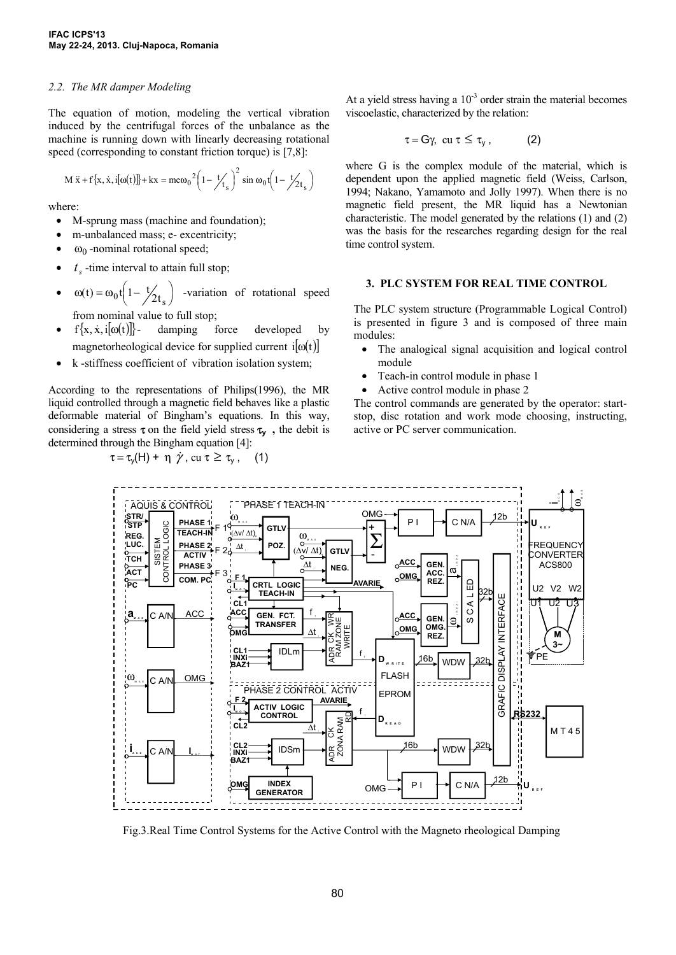#### *2.2. The MR damper Modeling*

The equation of motion, modeling the vertical vibration induced by the centrifugal forces of the unbalance as the machine is running down with linearly decreasing rotational speed (corresponding to constant friction torque) is [7,8]:

$$
M\ddot{x} + f\{x, \dot{x}, i[\omega(t)]\} + kx = m\omega_0^2 \left(1 - \frac{t}{t_s}\right)^2 \sin \omega_0 t \left(1 - \frac{t}{2t_s}\right)
$$

where:

- M-sprung mass (machine and foundation);
- m-unbalanced mass; e- excentricity;
- $ω<sub>0</sub>$  -nominal rotational speed;
- $t_{\text{t}}$  -time interval to attain full stop;
- $\omega(t) = \omega_0 t \left(1 \frac{t}{2t_s}\right)$  -variation of rotational speed from nominal value to full stop;
- $f\{x, \dot{x}, i[\omega(t)]\}$  damping force developed by magnetorheological device for supplied current  $i[\omega(t)]$
- k -stiffness coefficient of vibration isolation system;

According to the representations of Philips(1996), the MR liquid controlled through a magnetic field behaves like a plastic deformable material of Bingham's equations. In this way, considering a stress  $\tau$  on the field yield stress  $\tau$ <sub>y</sub>, the debit is determined through the Bingham equation [4]:

$$
\tau = \tau_{y}(H) + \eta \dot{\gamma}, \, \text{cu } \tau \geq \tau_{y}, \quad (1)
$$

At a yield stress having a  $10^{-3}$  order strain the material becomes viscoelastic, characterized by the relation:

$$
\tau = G\gamma, \ \text{cu} \ \tau \leq \tau_{y} \,, \tag{2}
$$

where G is the complex module of the material, which is dependent upon the applied magnetic field (Weiss, Carlson, 1994; Nakano, Yamamoto and Jolly 1997). When there is no magnetic field present, the MR liquid has a Newtonian characteristic. The model generated by the relations (1) and (2) was the basis for the researches regarding design for the real time control system.

#### **3. PLC SYSTEM FOR REAL TIME CONTROL**

The PLC system structure (Programmable Logical Control) is presented in figure 3 and is composed of three main modules:

- The analogical signal acquisition and logical control module
- Teach-in control module in phase 1
- Active control module in phase 2

The control commands are generated by the operator: startstop, disc rotation and work mode choosing, instructing, active or PC server communication.



Fig.3.Real Time Control Systems for the Active Control with the Magneto rheological Damping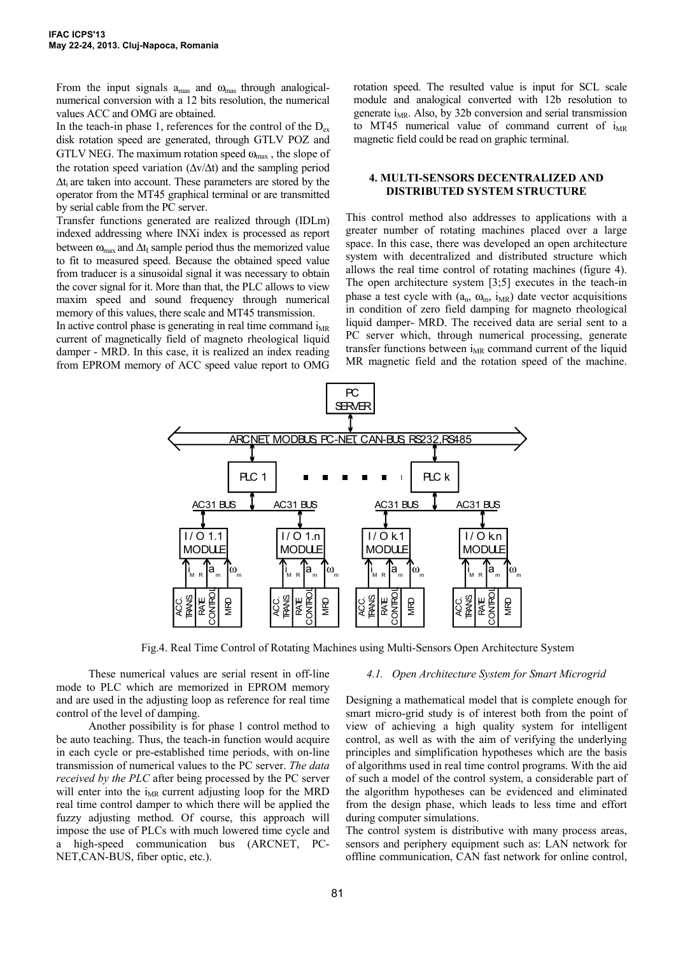From the input signals  $a_{\text{mas}}$  and  $\omega_{\text{mas}}$  through analogicalnumerical conversion with a 12 bits resolution, the numerical values ACC and OMG are obtained.

In the teach-in phase 1, references for the control of the  $D_{ex}$ disk rotation speed are generated, through GTLV POZ and GTLV NEG. The maximum rotation speed  $\omega_{\text{max}}$ , the slope of the rotation speed variation  $(\Delta v/\Delta t)$  and the sampling period Δti are taken into account. These parameters are stored by the operator from the MT45 graphical terminal or are transmitted by serial cable from the PC server.

Transfer functions generated are realized through (IDLm) indexed addressing where INXi index is processed as report between  $\omega_{\text{max}}$  and  $\Delta t_I$  sample period thus the memorized value to fit to measured speed. Because the obtained speed value from traducer is a sinusoidal signal it was necessary to obtain the cover signal for it. More than that, the PLC allows to view maxim speed and sound frequency through numerical memory of this values, there scale and MT45 transmission.

In active control phase is generating in real time command  $i_{MR}$ current of magnetically field of magneto rheological liquid damper - MRD. In this case, it is realized an index reading from EPROM memory of ACC speed value report to OMG rotation speed. The resulted value is input for SCL scale module and analogical converted with 12b resolution to generate  $i_{MR}$ . Also, by 32b conversion and serial transmission to MT45 numerical value of command current of  $i_{MR}$ magnetic field could be read on graphic terminal.

#### **4. MULTI-SENSORS DECENTRALIZED AND DISTRIBUTED SYSTEM STRUCTURE**

This control method also addresses to applications with a greater number of rotating machines placed over a large space. In this case, there was developed an open architecture system with decentralized and distributed structure which allows the real time control of rotating machines (figure 4). The open architecture system [3;5] executes in the teach-in phase a test cycle with  $(a_n, \omega_m, i_{MR})$  date vector acquisitions in condition of zero field damping for magneto rheological liquid damper- MRD. The received data are serial sent to a PC server which, through numerical processing, generate transfer functions between  $i_{MR}$  command current of the liquid MR magnetic field and the rotation speed of the machine.



Fig.4. Real Time Control of Rotating Machines using Multi-Sensors Open Architecture System

These numerical values are serial resent in off-line mode to PLC which are memorized in EPROM memory and are used in the adjusting loop as reference for real time control of the level of damping.

Another possibility is for phase 1 control method to be auto teaching. Thus, the teach-in function would acquire in each cycle or pre-established time periods, with on-line transmission of numerical values to the PC server. *The data received by the PLC* after being processed by the PC server will enter into the  $i_{MR}$  current adjusting loop for the MRD real time control damper to which there will be applied the fuzzy adjusting method. Of course, this approach will impose the use of PLCs with much lowered time cycle and a high-speed communication bus (ARCNET, PC-NET,CAN-BUS, fiber optic, etc.).

#### *4.1. Open Architecture System for Smart Microgrid*

Designing a mathematical model that is complete enough for smart micro-grid study is of interest both from the point of view of achieving a high quality system for intelligent control, as well as with the aim of verifying the underlying principles and simplification hypotheses which are the basis of algorithms used in real time control programs. With the aid of such a model of the control system, a considerable part of the algorithm hypotheses can be evidenced and eliminated from the design phase, which leads to less time and effort during computer simulations.

The control system is distributive with many process areas, sensors and periphery equipment such as: LAN network for offline communication, CAN fast network for online control,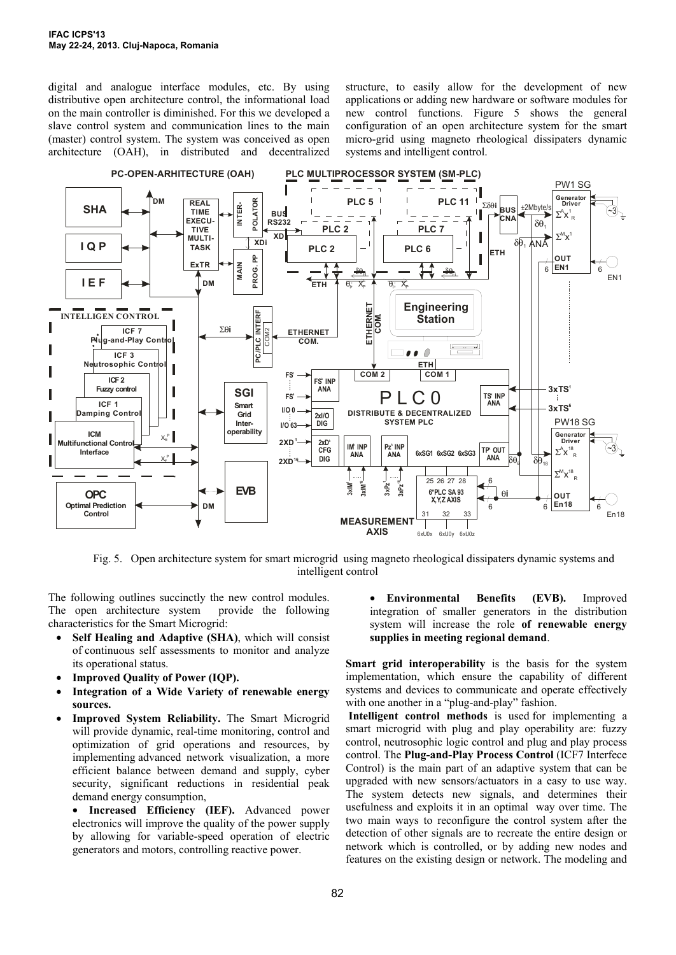digital and analogue interface modules, etc. By using distributive open architecture control, the informational load on the main controller is diminished. For this we developed a slave control system and communication lines to the main (master) control system. The system was conceived as open architecture (OAH), in distributed and decentralized structure, to easily allow for the development of new applications or adding new hardware or software modules for new control functions. Figure 5 shows the general configuration of an open architecture system for the smart micro-grid using magneto rheological dissipaters dynamic systems and intelligent control.



Fig. 5. Open architecture system for smart microgrid using magneto rheological dissipaters dynamic systems and intelligent control

The following outlines succinctly the new control modules. The open architecture system provide the following characteristics for the Smart Microgrid:

- **Self Healing and Adaptive (SHA)**, which will consist of continuous self assessments to monitor and analyze its operational status.
- **Improved Quality of Power (IQP).**
- **Integration of a Wide Variety of renewable energy sources.**
- **Improved System Reliability.** The Smart Microgrid will provide dynamic, real-time monitoring, control and optimization of grid operations and resources, by implementing advanced network visualization, a more efficient balance between demand and supply, cyber security, significant reductions in residential peak demand energy consumption,

• **Increased Efficiency (IEF).** Advanced power electronics will improve the quality of the power supply by allowing for variable-speed operation of electric generators and motors, controlling reactive power.

• **Environmental Benefits (EVB).** Improved integration of smaller generators in the distribution system will increase the role **of renewable energy supplies in meeting regional demand**.

**Smart grid interoperability** is the basis for the system implementation, which ensure the capability of different systems and devices to communicate and operate effectively with one another in a "plug-and-play" fashion.

**Intelligent control methods** is used for implementing a smart microgrid with plug and play operability are: fuzzy control, neutrosophic logic control and plug and play process control. The **Plug-and-Play Process Control** (ICF7 Interfece Control) is the main part of an adaptive system that can be upgraded with new sensors/actuators in a easy to use way. The system detects new signals, and determines their usefulness and exploits it in an optimal way over time. The two main ways to reconfigure the control system after the detection of other signals are to recreate the entire design or network which is controlled, or by adding new nodes and features on the existing design or network. The modeling and